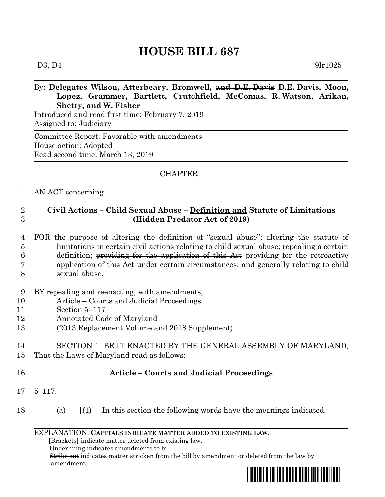# **HOUSE BILL 687**

## By: **Delegates Wilson, Atterbeary, Bromwell, and D.E. Davis D.E. Davis, Moon, Lopez, Grammer, Bartlett, Crutchfield, McComas, R. Watson, Arikan, Shetty, and W. Fisher**

Introduced and read first time: February 7, 2019 Assigned to: Judiciary

Committee Report: Favorable with amendments House action: Adopted Read second time: March 13, 2019

### CHAPTER \_\_\_\_\_\_

### 1 AN ACT concerning

## 2 **Civil Actions – Child Sexual Abuse – Definition and Statute of Limitations**  3 **(Hidden Predator Act of 2019)**

- 4 FOR the purpose of altering the definition of "sexual abuse"; altering the statute of 5 limitations in certain civil actions relating to child sexual abuse; repealing a certain 6 definition; providing for the application of this Act providing for the retroactive 7 application of this Act under certain circumstances; and generally relating to child 8 sexual abuse.
- 9 BY repealing and reenacting, with amendments,
- 10 Article Courts and Judicial Proceedings
- 11 Section 5–117
- 12 Annotated Code of Maryland
- 13 (2013 Replacement Volume and 2018 Supplement)

### 14 SECTION 1. BE IT ENACTED BY THE GENERAL ASSEMBLY OF MARYLAND, 15 That the Laws of Maryland read as follows:

- 16 **Article – Courts and Judicial Proceedings**
- 17 5–117.
- 18 (a) **[**(1) In this section the following words have the meanings indicated.

#### EXPLANATION: **CAPITALS INDICATE MATTER ADDED TO EXISTING LAW**.

 **[**Brackets**]** indicate matter deleted from existing law.

Underlining indicates amendments to bill.

 Strike out indicates matter stricken from the bill by amendment or deleted from the law by amendment.

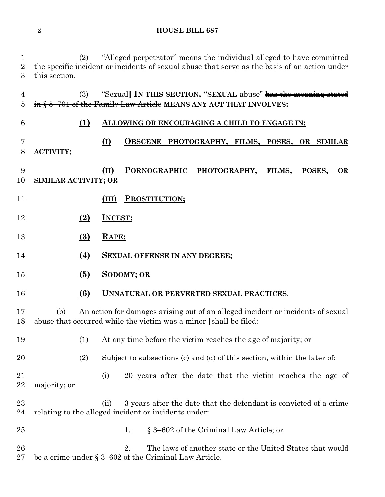#### **HOUSE BILL 687**

 (2) "Alleged perpetrator" means the individual alleged to have committed the specific incident or incidents of sexual abuse that serve as the basis of an action under this section.

 (3) "Sexual**] IN THIS SECTION, "SEXUAL** abuse" has the meaning stated in § 5–701 of the Family Law Article **MEANS ANY ACT THAT INVOLVES:**

**(1) ALLOWING OR ENCOURAGING A CHILD TO ENGAGE IN:**

 **(I) OBSCENE PHOTOGRAPHY, FILMS, POSES, OR SIMILAR ACTIVITY;**

 **(II) PORNOGRAPHIC PHOTOGRAPHY, FILMS, POSES, OR SIMILAR ACTIVITY; OR**

- **(III) PROSTITUTION;**
- **(2) INCEST;**
- **(3) RAPE;**
- **(4) SEXUAL OFFENSE IN ANY DEGREE;**
- **(5) SODOMY; OR**
- **(6) UNNATURAL OR PERVERTED SEXUAL PRACTICES**.

 (b) An action for damages arising out of an alleged incident or incidents of sexual abuse that occurred while the victim was a minor **[**shall be filed:

- (1) At any time before the victim reaches the age of majority; or
- (2) Subject to subsections (c) and (d) of this section, within the later of:
- (i) 20 years after the date that the victim reaches the age of majority; or

23 (ii) 3 years after the date that the defendant is convicted of a crime relating to the alleged incident or incidents under:

1. § 3–602 of the Criminal Law Article; or

 2. The laws of another state or the United States that would be a crime under § 3–602 of the Criminal Law Article.